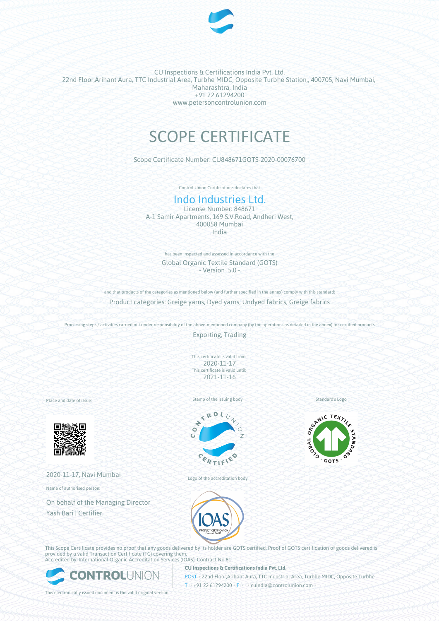

CU Inspections & Certifications India Pvt. Ltd. 22nd Floor,Arihant Aura, TTC Industrial Area, Turbhe MIDC, Opposite Turbhe Station,, 400705, Navi Mumbai, Maharashtra, India +91 22 61294200 www.petersoncontrolunion.com

# SCOPE CERTIFICATE

Scope Certificate Number: CU848671GOTS-2020-00076700

Control Union Certifications declares that

# Indo Industries Ltd.

License Number: 848671 A-1 Samir Apartments, 169 S.V.Road, Andheri West, 400058 Mumbai India

> has been inspected and assessed in accordance with the Global Organic Textile Standard (GOTS) - Version 5.0 -

and that products of the categories as mentioned below (and further specified in the annex) comply with this standard: Product categories: Greige yarns, Dyed yarns, Undyed fabrics, Greige fabrics

Processing steps / activities carried out under responsibility of the above-mentioned company (by the operations as detailed in the annex) for certified products

Exporting, Trading

This certificate is valid from: 2020-11-17 This certificate is valid until: 2021-11-16

Place and date of issue:



2020-11-17, Navi Mumbai

Name of authorised person:

On behalf of the Managing Director Yash Bari | Certifier



Stamp of the issuing body

Logo of the accreditation body



**CU Inspections & Certifications India Pvt. Ltd.**

Standard's Logo



This Scope Certificate provides no proof that any goods delivered by its holder are GOTS certified. Proof of GOTS certification of goods delivered is provided by a valid Transaction Certificate (TC) covering them. Accredited by: International Organic Accreditation Services (IOAS); Contract No 81



**POST** • 22nd Floor,Arihant Aura, TTC Industrial Area, Turbhe MIDC, Opposite Turbhe T • +91 22 61294200 • F • • cuindia@controlunion.com •

This electronically issued document is the valid original version.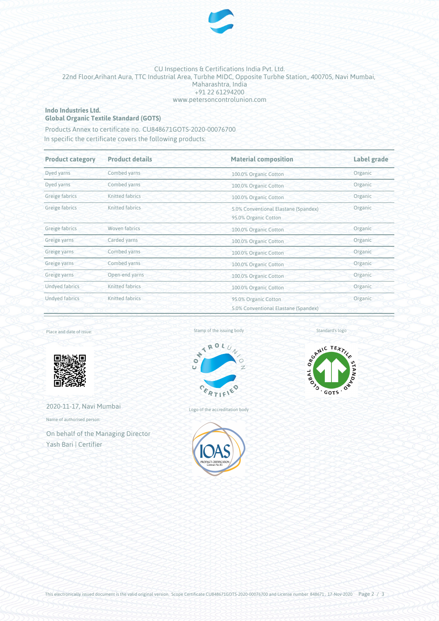

#### CU Inspections & Certifications India Pvt. Ltd. 22nd Floor,Arihant Aura, TTC Industrial Area, Turbhe MIDC, Opposite Turbhe Station,, 400705, Navi Mumbai, Maharashtra, India +91 22 61294200 www.petersoncontrolunion.com

#### **Indo Industries Ltd. Global Organic Textile Standard (GOTS)**

Products Annex to certificate no. CU848671GOTS-2020-00076700

In specific the certificate covers the following products:

| <b>Product category</b><br><b>Product details</b> |                 | <b>Material composition</b>                                             | Label grade |  |
|---------------------------------------------------|-----------------|-------------------------------------------------------------------------|-------------|--|
| Dyed yarns                                        | Combed yarns    | 100.0% Organic Cotton                                                   | Organic     |  |
| Dyed yarns                                        | Combed yarns    | 100.0% Organic Cotton                                                   | Organic     |  |
| Greige fabrics                                    | Knitted fabrics | 100.0% Organic Cotton                                                   | Organic     |  |
| Greige fabrics                                    | Knitted fabrics | Organic<br>5.0% Conventional Elastane (Spandex)<br>95.0% Organic Cotton |             |  |
| Greige fabrics                                    | Woven fabrics   | Organic<br>100.0% Organic Cotton                                        |             |  |
| Greige yarns                                      | Carded yarns    | 100.0% Organic Cotton                                                   | Organic     |  |
| Greige yarns                                      | Combed yarns    | Organic<br>100.0% Organic Cotton                                        |             |  |
| Greige yarns                                      | Combed yarns    | Organic<br>100.0% Organic Cotton                                        |             |  |
| Greige yarns                                      | Open-end yarns  | Organic<br>100.0% Organic Cotton                                        |             |  |
| <b>Undyed fabrics</b>                             | Knitted fabrics | Organic<br>100.0% Organic Cotton                                        |             |  |
| Undyed fabrics                                    | Knitted fabrics | Organic<br>95.0% Organic Cotton<br>5.0% Conventional Elastane (Spandex) |             |  |

#### Place and date of issue:



2020-11-17, Navi Mumbai

Name of authorised person:

On behalf of the Managing Director Yash Bari | Certifier







Standard's logo

Logo of the accreditation body